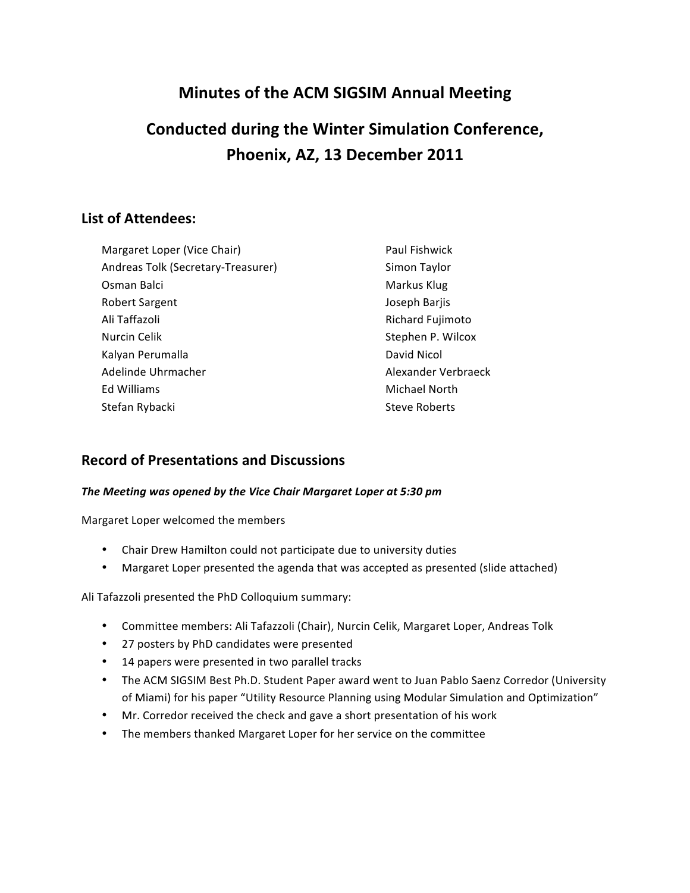## **Minutes of the ACM SIGSIM Annual Meeting**

# **Conducted during the Winter Simulation Conference,** Phoenix, AZ, 13 December 2011

## **List of Attendees:**

| Margaret Loper (Vice Chair)        | Paul Fishwick        |
|------------------------------------|----------------------|
| Andreas Tolk (Secretary-Treasurer) | Simon Taylor         |
| Osman Balci                        | Markus Klug          |
| <b>Robert Sargent</b>              | Joseph Barjis        |
| Ali Taffazoli                      | Richard Fujimoto     |
| Nurcin Celik                       | Stephen P. Wilcox    |
| Kalyan Perumalla                   | David Nicol          |
| Adelinde Uhrmacher                 | Alexander Verbraeck  |
| Ed Williams                        | Michael North        |
| Stefan Rybacki                     | <b>Steve Roberts</b> |

## **Record of Presentations and Discussions**

#### *The Meeting was opened by the Vice Chair Margaret Loper at 5:30 pm*

Margaret Loper welcomed the members

- Chair Drew Hamilton could not participate due to university duties
- Margaret Loper presented the agenda that was accepted as presented (slide attached)

Ali Tafazzoli presented the PhD Colloquium summary:

- Committee members: Ali Tafazzoli (Chair), Nurcin Celik, Margaret Loper, Andreas Tolk
- 27 posters by PhD candidates were presented
- 14 papers were presented in two parallel tracks
- The ACM SIGSIM Best Ph.D. Student Paper award went to Juan Pablo Saenz Corredor (University of Miami) for his paper "Utility Resource Planning using Modular Simulation and Optimization"
- Mr. Corredor received the check and gave a short presentation of his work
- The members thanked Margaret Loper for her service on the committee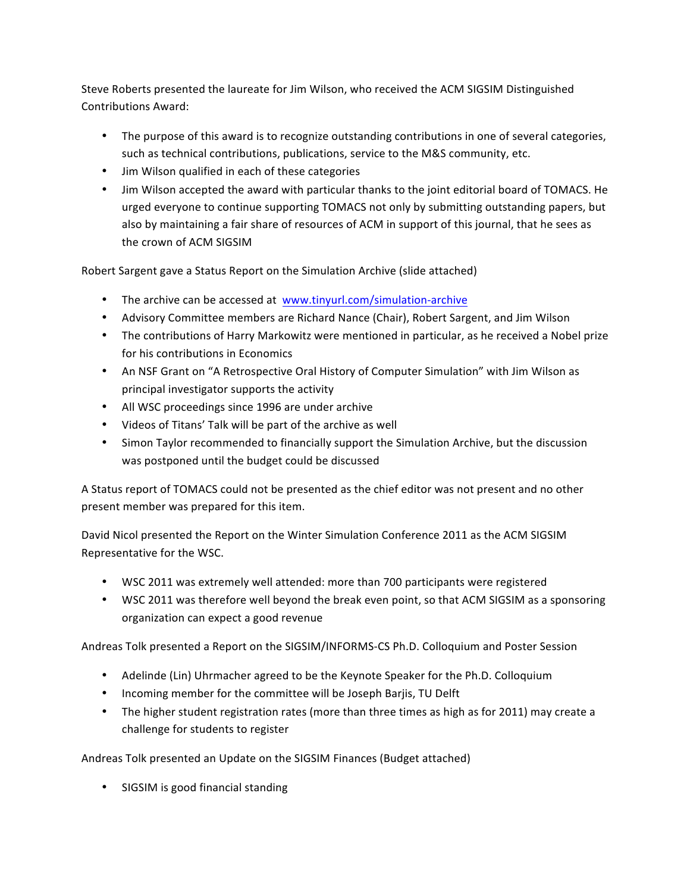Steve Roberts presented the laureate for Jim Wilson, who received the ACM SIGSIM Distinguished Contributions Award:

- The purpose of this award is to recognize outstanding contributions in one of several categories, such as technical contributions, publications, service to the M&S community, etc.
- Jim Wilson qualified in each of these categories
- Jim Wilson accepted the award with particular thanks to the joint editorial board of TOMACS. He urged everyone to continue supporting TOMACS not only by submitting outstanding papers, but also by maintaining a fair share of resources of ACM in support of this journal, that he sees as the crown of ACM SIGSIM

Robert Sargent gave a Status Report on the Simulation Archive (slide attached)

- The archive can be accessed at www.tinyurl.com/simulation-archive
- Advisory Committee members are Richard Nance (Chair), Robert Sargent, and Jim Wilson
- The contributions of Harry Markowitz were mentioned in particular, as he received a Nobel prize for his contributions in Economics
- An NSF Grant on "A Retrospective Oral History of Computer Simulation" with Jim Wilson as principal investigator supports the activity
- All WSC proceedings since 1996 are under archive
- Videos of Titans' Talk will be part of the archive as well
- Simon Taylor recommended to financially support the Simulation Archive, but the discussion was postponed until the budget could be discussed

A Status report of TOMACS could not be presented as the chief editor was not present and no other present member was prepared for this item.

David Nicol presented the Report on the Winter Simulation Conference 2011 as the ACM SIGSIM Representative for the WSC.

- WSC 2011 was extremely well attended: more than 700 participants were registered
- WSC 2011 was therefore well beyond the break even point, so that ACM SIGSIM as a sponsoring organization can expect a good revenue

Andreas Tolk presented a Report on the SIGSIM/INFORMS-CS Ph.D. Colloquium and Poster Session

- Adelinde (Lin) Uhrmacher agreed to be the Keynote Speaker for the Ph.D. Colloquium
- Incoming member for the committee will be Joseph Barjis, TU Delft
- The higher student registration rates (more than three times as high as for 2011) may create a challenge for students to register

Andreas Tolk presented an Update on the SIGSIM Finances (Budget attached)

• SIGSIM is good financial standing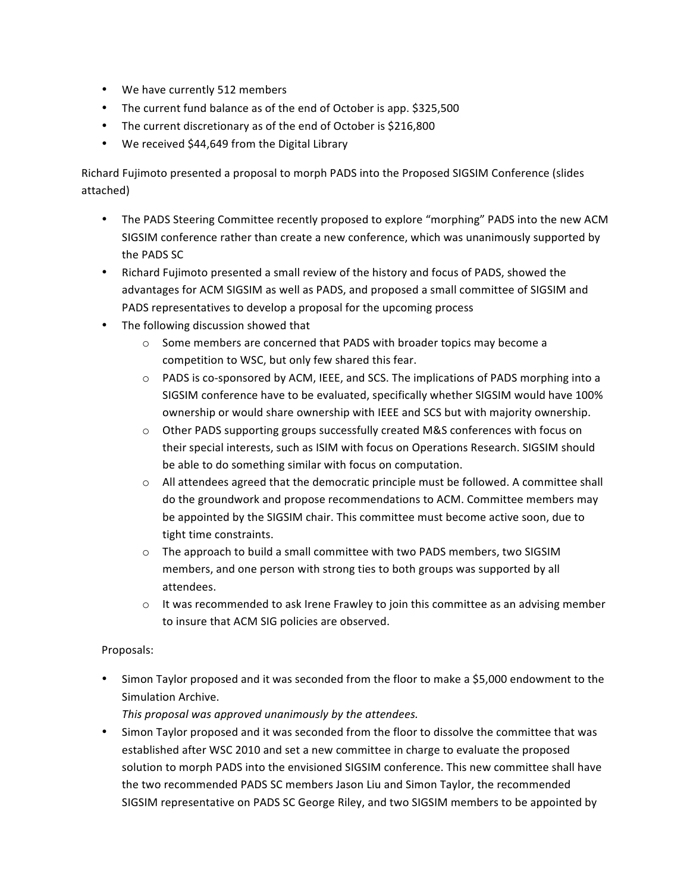- We have currently 512 members
- The current fund balance as of the end of October is app. \$325,500
- The current discretionary as of the end of October is \$216,800
- We received \$44,649 from the Digital Library

Richard Fujimoto presented a proposal to morph PADS into the Proposed SIGSIM Conference (slides attached)

- The PADS Steering Committee recently proposed to explore "morphing" PADS into the new ACM SIGSIM conference rather than create a new conference, which was unanimously supported by the PADS SC
- Richard Fujimoto presented a small review of the history and focus of PADS, showed the advantages for ACM SIGSIM as well as PADS, and proposed a small committee of SIGSIM and PADS representatives to develop a proposal for the upcoming process
- The following discussion showed that
	- $\circ$  Some members are concerned that PADS with broader topics may become a competition to WSC, but only few shared this fear.
	- $\circ$  PADS is co-sponsored by ACM, IEEE, and SCS. The implications of PADS morphing into a SIGSIM conference have to be evaluated, specifically whether SIGSIM would have 100% ownership or would share ownership with IEEE and SCS but with majority ownership.
	- $\circ$  Other PADS supporting groups successfully created M&S conferences with focus on their special interests, such as ISIM with focus on Operations Research. SIGSIM should be able to do something similar with focus on computation.
	- $\circ$  All attendees agreed that the democratic principle must be followed. A committee shall do'the'groundwork'and'propose'recommendations'to'ACM.'Committee'members'may' be appointed by the SIGSIM chair. This committee must become active soon, due to tight time constraints.
	- o The approach to build a small committee with two PADS members, two SIGSIM members, and one person with strong ties to both groups was supported by all attendees.
	- $\circ$  It was recommended to ask Irene Frawley to join this committee as an advising member to insure that ACM SIG policies are observed.

#### Proposals:

• Simon Taylor proposed and it was seconded from the floor to make a \$5,000 endowment to the Simulation Archive.

*This%proposal%was%approved%unanimously%by%the%attendees.*

• Simon Taylor proposed and it was seconded from the floor to dissolve the committee that was established after WSC 2010 and set a new committee in charge to evaluate the proposed solution to morph PADS into the envisioned SIGSIM conference. This new committee shall have the two recommended PADS SC members Jason Liu and Simon Taylor, the recommended SIGSIM representative on PADS SC George Riley, and two SIGSIM members to be appointed by